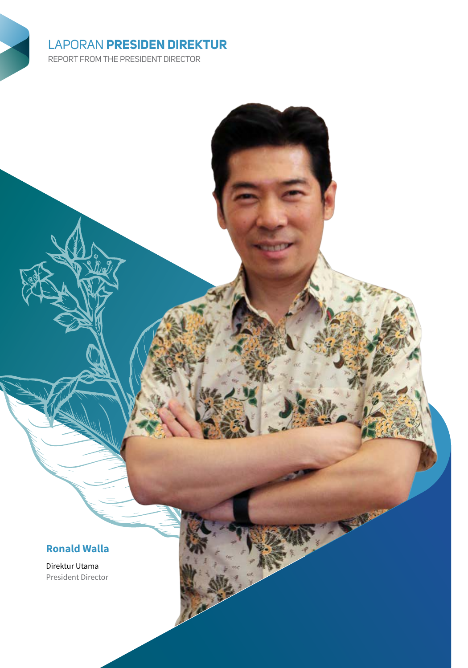# LAPORAN **PRESIDEN DIREKTUR**

REPORT FROM THE PRESIDENT DIRECTOR

## **Ronald Walla**

Direktur Utama President Director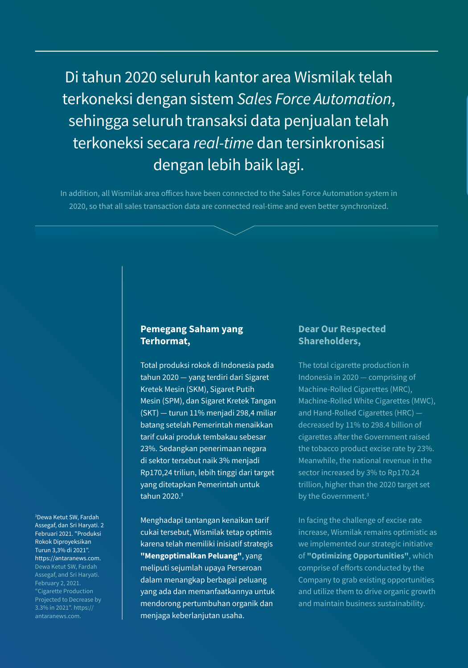Di tahun 2020 seluruh kantor area Wismilak telah terkoneksi dengan sistem *Sales Force Automation*, sehingga seluruh transaksi data penjualan telah terkoneksi secara *real-time* dan tersinkronisasi dengan lebih baik lagi.

In addition, all Wismilak area offices have been connected to the Sales Force Automation system in 2020, so that all sales transaction data are connected real-time and even better synchronized.

#### **Pemegang Saham yang Terhormat,**

Total produksi rokok di Indonesia pada tahun 2020 — yang terdiri dari Sigaret Kretek Mesin (SKM), Sigaret Putih Mesin (SPM), dan Sigaret Kretek Tangan (SKT) — turun 11% menjadi 298,4 miliar batang setelah Pemerintah menaikkan tarif cukai produk tembakau sebesar 23%. Sedangkan penerimaan negara di sektor tersebut naik 3% menjadi Rp170,24 triliun, lebih tinggi dari target yang ditetapkan Pemerintah untuk tahun 2020.3

Menghadapi tantangan kenaikan tarif cukai tersebut, Wismilak tetap optimis karena telah memiliki inisiatif strategis **"Mengoptimalkan Peluang"**, yang meliputi sejumlah upaya Perseroan dalam menangkap berbagai peluang yang ada dan memanfaatkannya untuk mendorong pertumbuhan organik dan menjaga keberlanjutan usaha.

### **Dear Our Respected Shareholders,**

The total cigarette production in Indonesia in 2020 — comprising of Machine-Rolled Cigarettes (MRC), Machine-Rolled White Cigarettes (MWC), and Hand-Rolled Cigarettes (HRC) decreased by 11% to 298.4 billion of cigarettes after the Government raised the tobacco product excise rate by 23%. Meanwhile, the national revenue in the sector increased by 3% to Rp170.24 trillion, higher than the 2020 target set by the Government.<sup>3</sup>

In facing the challenge of excise rate increase, Wismilak remains optimistic as we implemented our strategic initiative of **"Optimizing Opportunities"**, which comprise of efforts conducted by the Company to grab existing opportunities and utilize them to drive organic growth and maintain business sustainability.

3 Dewa Ketut SW, Fardah Assegaf, dan Sri Haryati. 2 Februari 2021. "Produksi Rokok Diproyeksikan Turun 3,3% di 2021". https://antaranews.com. February 2, 2021. "Cigarette Production Projected to Decrease by 3.3% in 2021". https:// antaranews.com.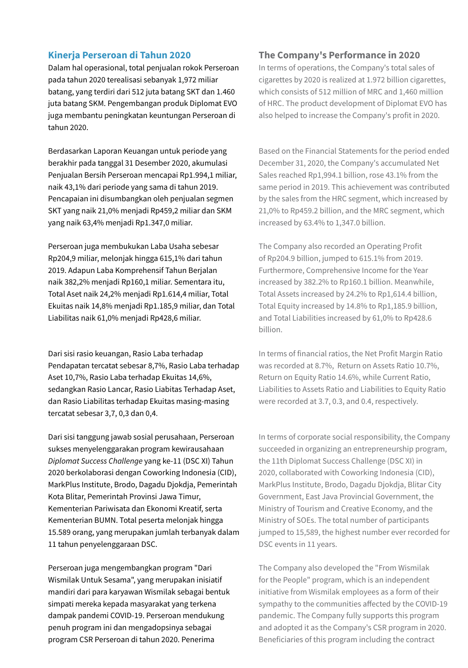#### **Kinerja Perseroan di Tahun 2020**

Dalam hal operasional, total penjualan rokok Perseroan pada tahun 2020 terealisasi sebanyak 1,972 miliar batang, yang terdiri dari 512 juta batang SKT dan 1.460 juta batang SKM. Pengembangan produk Diplomat EVO juga membantu peningkatan keuntungan Perseroan di tahun 2020.

Berdasarkan Laporan Keuangan untuk periode yang berakhir pada tanggal 31 Desember 2020, akumulasi Penjualan Bersih Perseroan mencapai Rp1.994,1 miliar, naik 43,1% dari periode yang sama di tahun 2019. Pencapaian ini disumbangkan oleh penjualan segmen SKT yang naik 21,0% menjadi Rp459,2 miliar dan SKM yang naik 63,4% menjadi Rp1.347,0 miliar.

Perseroan juga membukukan Laba Usaha sebesar Rp204,9 miliar, melonjak hingga 615,1% dari tahun 2019. Adapun Laba Komprehensif Tahun Berjalan naik 382,2% menjadi Rp160,1 miliar. Sementara itu, Total Aset naik 24,2% menjadi Rp1.614,4 miliar, Total Ekuitas naik 14,8% menjadi Rp1.185,9 miliar, dan Total Liabilitas naik 61,0% menjadi Rp428,6 miliar.

Dari sisi rasio keuangan, Rasio Laba terhadap Pendapatan tercatat sebesar 8,7%, Rasio Laba terhadap Aset 10,7%, Rasio Laba terhadap Ekuitas 14,6%, sedangkan Rasio Lancar, Rasio Liabitas Terhadap Aset, dan Rasio Liabilitas terhadap Ekuitas masing-masing tercatat sebesar 3,7, 0,3 dan 0,4.

Dari sisi tanggung jawab sosial perusahaan, Perseroan sukses menyelenggarakan program kewirausahaan *Diplomat Success Challenge* yang ke-11 (DSC XI) Tahun 2020 berkolaborasi dengan Coworking Indonesia (CID), MarkPlus Institute, Brodo, Dagadu Djokdja, Pemerintah Kota Blitar, Pemerintah Provinsi Jawa Timur, Kementerian Pariwisata dan Ekonomi Kreatif, serta Kementerian BUMN. Total peserta melonjak hingga 15.589 orang, yang merupakan jumlah terbanyak dalam 11 tahun penyelenggaraan DSC.

Perseroan juga mengembangkan program "Dari Wismilak Untuk Sesama", yang merupakan inisiatif mandiri dari para karyawan Wismilak sebagai bentuk simpati mereka kepada masyarakat yang terkena dampak pandemi COVID-19. Perseroan mendukung penuh program ini dan mengadopsinya sebagai program CSR Perseroan di tahun 2020. Penerima

#### **The Company's Performance in 2020**

In terms of operations, the Company's total sales of cigarettes by 2020 is realized at 1.972 billion cigarettes, which consists of 512 million of MRC and 1,460 million of HRC. The product development of Diplomat EVO has also helped to increase the Company's profit in 2020.

Based on the Financial Statements for the period ended December 31, 2020, the Company's accumulated Net Sales reached Rp1,994.1 billion, rose 43.1% from the same period in 2019. This achievement was contributed by the sales from the HRC segment, which increased by 21,0% to Rp459.2 billion, and the MRC segment, which increased by 63.4% to 1,347.0 billion.

The Company also recorded an Operating Profit of Rp204.9 billion, jumped to 615.1% from 2019. Furthermore, Comprehensive Income for the Year increased by 382.2% to Rp160.1 billion. Meanwhile, Total Assets increased by 24.2% to Rp1,614.4 billion, Total Equity increased by 14.8% to Rp1,185.9 billion, and Total Liabilities increased by 61,0% to Rp428.6 billion.

In terms of financial ratios, the Net Profit Margin Ratio was recorded at 8.7%, Return on Assets Ratio 10.7%, Return on Equity Ratio 14.6%, while Current Ratio, Liabilities to Assets Ratio and Liabilities to Equity Ratio were recorded at 3.7, 0.3, and 0.4, respectively.

In terms of corporate social responsibility, the Company succeeded in organizing an entrepreneurship program, the 11th Diplomat Success Challenge (DSC XI) in 2020, collaborated with Coworking Indonesia (CID), MarkPlus Institute, Brodo, Dagadu Djokdja, Blitar City Government, East Java Provincial Government, the Ministry of Tourism and Creative Economy, and the Ministry of SOEs. The total number of participants jumped to 15,589, the highest number ever recorded for DSC events in 11 years.

The Company also developed the "From Wismilak for the People" program, which is an independent initiative from Wismilak employees as a form of their sympathy to the communities affected by the COVID-19 pandemic. The Company fully supports this program and adopted it as the Company's CSR program in 2020. Beneficiaries of this program including the contract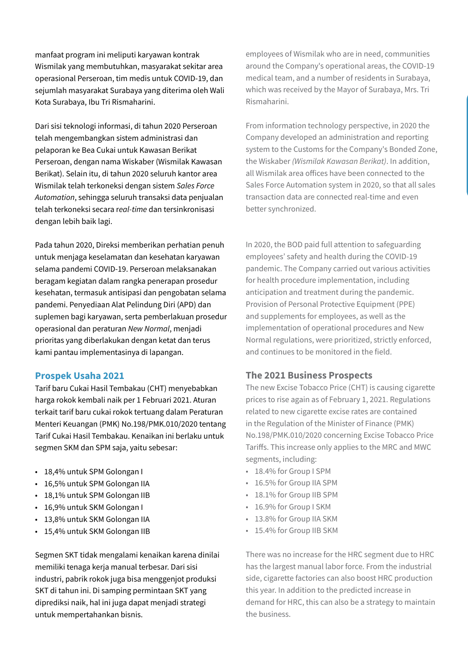manfaat program ini meliputi karyawan kontrak Wismilak yang membutuhkan, masyarakat sekitar area operasional Perseroan, tim medis untuk COVID-19, dan sejumlah masyarakat Surabaya yang diterima oleh Wali Kota Surabaya, Ibu Tri Rismaharini.

Dari sisi teknologi informasi, di tahun 2020 Perseroan telah mengembangkan sistem administrasi dan pelaporan ke Bea Cukai untuk Kawasan Berikat Perseroan, dengan nama Wiskaber (Wismilak Kawasan Berikat). Selain itu, di tahun 2020 seluruh kantor area Wismilak telah terkoneksi dengan sistem *Sales Force Automation*, sehingga seluruh transaksi data penjualan telah terkoneksi secara r*eal-time* dan tersinkronisasi dengan lebih baik lagi.

Pada tahun 2020, Direksi memberikan perhatian penuh untuk menjaga keselamatan dan kesehatan karyawan selama pandemi COVID-19. Perseroan melaksanakan beragam kegiatan dalam rangka penerapan prosedur kesehatan, termasuk antisipasi dan pengobatan selama pandemi. Penyediaan Alat Pelindung Diri (APD) dan suplemen bagi karyawan, serta pemberlakuan prosedur operasional dan peraturan *New Normal*, menjadi prioritas yang diberlakukan dengan ketat dan terus kami pantau implementasinya di lapangan.

#### **Prospek Usaha 2021**

Tarif baru Cukai Hasil Tembakau (CHT) menyebabkan harga rokok kembali naik per 1 Februari 2021. Aturan terkait tarif baru cukai rokok tertuang dalam Peraturan Menteri Keuangan (PMK) No.198/PMK.010/2020 tentang Tarif Cukai Hasil Tembakau. Kenaikan ini berlaku untuk segmen SKM dan SPM saja, yaitu sebesar:

- 18,4% untuk SPM Golongan I
- 16,5% untuk SPM Golongan IIA
- 18,1% untuk SPM Golongan IIB
- 16,9% untuk SKM Golongan I
- 13,8% untuk SKM Golongan IIA
- 15,4% untuk SKM Golongan IIB

Segmen SKT tidak mengalami kenaikan karena dinilai memiliki tenaga kerja manual terbesar. Dari sisi industri, pabrik rokok juga bisa menggenjot produksi SKT di tahun ini. Di samping permintaan SKT yang diprediksi naik, hal ini juga dapat menjadi strategi untuk mempertahankan bisnis.

employees of Wismilak who are in need, communities around the Company's operational areas, the COVID-19 medical team, and a number of residents in Surabaya, which was received by the Mayor of Surabaya, Mrs. Tri Rismaharini.

From information technology perspective, in 2020 the Company developed an administration and reporting system to the Customs for the Company's Bonded Zone, the Wiskaber *(Wismilak Kawasan Berikat)*. In addition, all Wismilak area offices have been connected to the Sales Force Automation system in 2020, so that all sales transaction data are connected real-time and even better synchronized.

In 2020, the BOD paid full attention to safeguarding employees' safety and health during the COVID-19 pandemic. The Company carried out various activities for health procedure implementation, including anticipation and treatment during the pandemic. Provision of Personal Protective Equipment (PPE) and supplements for employees, as well as the implementation of operational procedures and New Normal regulations, were prioritized, strictly enforced, and continues to be monitored in the field.

#### **The 2021 Business Prospects**

The new Excise Tobacco Price (CHT) is causing cigarette prices to rise again as of February 1, 2021. Regulations related to new cigarette excise rates are contained in the Regulation of the Minister of Finance (PMK) No.198/PMK.010/2020 concerning Excise Tobacco Price Tariffs. This increase only applies to the MRC and MWC segments, including:

- 18.4% for Group I SPM
- 16.5% for Group IIA SPM
- 18.1% for Group IIB SPM
- 16.9% for Group I SKM
- 13.8% for Group IIA SKM
- 15.4% for Group IIB SKM

There was no increase for the HRC segment due to HRC has the largest manual labor force. From the industrial side, cigarette factories can also boost HRC production this year. In addition to the predicted increase in demand for HRC, this can also be a strategy to maintain the business.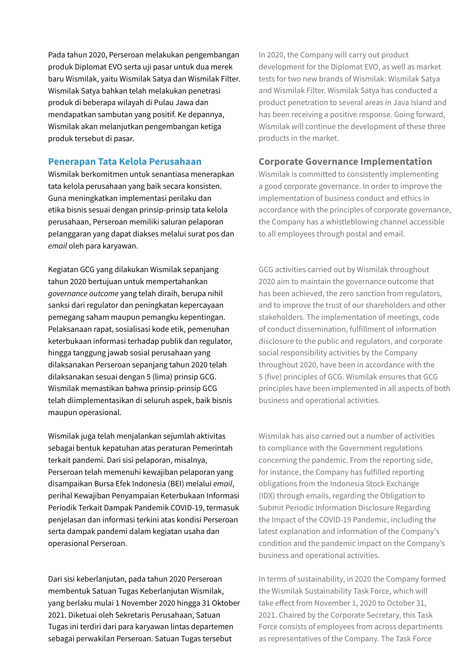Pada tahun 2020, Perseroan melakukan pengembangan produk Diplomat EVO serta uji pasar untuk dua merek baru Wismilak, yaitu Wismilak Satya dan Wismilak Filter. Wismilak Satya bahkan telah melakukan penetrasi produk di beberapa wilayah di Pulau Jawa dan mendapatkan sambutan yang positif. Ke depannya, Wismilak akan melanjutkan pengembangan ketiga produk tersebut di pasar.

#### **Penerapan Tata Kelola Perusahaan**

Wismilak berkomitmen untuk senantiasa menerapkan tata kelola perusahaan yang baik secara konsisten. Guna meningkatkan implementasi perilaku dan etika bisnis sesuai dengan prinsip-prinsip tata kelola perusahaan, Perseroan memiliki saluran pelaporan pelanggaran yang dapat diakses melalui surat pos dan *email* oleh para karyawan.

Kegiatan GCG yang dilakukan Wismilak sepanjang tahun 2020 bertujuan untuk mempertahankan *governance outcome* yang telah diraih, berupa nihil sanksi dari regulator dan peningkatan kepercayaan pemegang saham maupun pemangku kepentingan. Pelaksanaan rapat, sosialisasi kode etik, pemenuhan keterbukaan informasi terhadap publik dan regulator, hingga tanggung jawab sosial perusahaan yang dilaksanakan Perseroan sepanjang tahun 2020 telah dilaksanakan sesuai dengan 5 (lima) prinsip GCG. Wismilak memastikan bahwa prinsip-prinsip GCG telah diimplementasikan di seluruh aspek, baik bisnis maupun operasional.

Wismilak juga telah menjalankan sejumlah aktivitas sebagai bentuk kepatuhan atas peraturan Pemerintah terkait pandemi. Dari sisi pelaporan, misalnya, Perseroan telah memenuhi kewajiban pelaporan yang disampaikan Bursa Efek Indonesia (BEI) melalui *email*, perihal Kewajiban Penyampaian Keterbukaan Informasi Periodik Terkait Dampak Pandemik COVID-19, termasuk penjelasan dan informasi terkini atas kondisi Perseroan serta dampak pandemi dalam kegiatan usaha dan operasional Perseroan.

Dari sisi keberlanjutan, pada tahun 2020 Perseroan membentuk Satuan Tugas Keberlanjutan Wismilak, yang berlaku mulai 1 November 2020 hingga 31 Oktober 2021. Diketuai oleh Sekretaris Perusahaan, Satuan Tugas ini terdiri dari para karyawan lintas departemen sebagai perwakilan Perseroan. Satuan Tugas tersebut

In 2020, the Company will carry out product development for the Diplomat EVO, as well as market tests for two new brands of Wismilak: Wismilak Satya and Wismilak Filter. Wismilak Satya has conducted a product penetration to several areas in Java Island and has been receiving a positive response. Going forward, Wismilak will continue the development of these three products in the market.

#### **Corporate Governance Implementation**

Wismilak is committed to consistently implementing a good corporate governance. In order to improve the implementation of business conduct and ethics in accordance with the principles of corporate governance, the Company has a whistleblowing channel accessible to all employees through postal and email.

GCG activities carried out by Wismilak throughout 2020 aim to maintain the governance outcome that has been achieved, the zero sanction from regulators, and to improve the trust of our shareholders and other stakeholders. The implementation of meetings, code of conduct dissemination, fulfillment of information disclosure to the public and regulators, and corporate social responsibility activities by the Company throughout 2020, have been in accordance with the 5 (five) principles of GCG. Wismilak ensures that GCG principles have been implemented in all aspects of both business and operational activities.

Wismilak has also carried out a number of activities to compliance with the Government regulations concerning the pandemic. From the reporting side, for instance, the Company has fulfilled reporting obligations from the Indonesia Stock Exchange (IDX) through emails, regarding the Obligation to Submit Periodic Information Disclosure Regarding the Impact of the COVID-19 Pandemic, including the latest explanation and information of the Company's condition and the pandemic impact on the Company's business and operational activities.

In terms of sustainability, in 2020 the Company formed the Wismilak Sustainability Task Force, which will take effect from November 1, 2020 to October 31, 2021. Chaired by the Corporate Secretary, this Task Force consists of employees from across departments as representatives of the Company. The Task Force